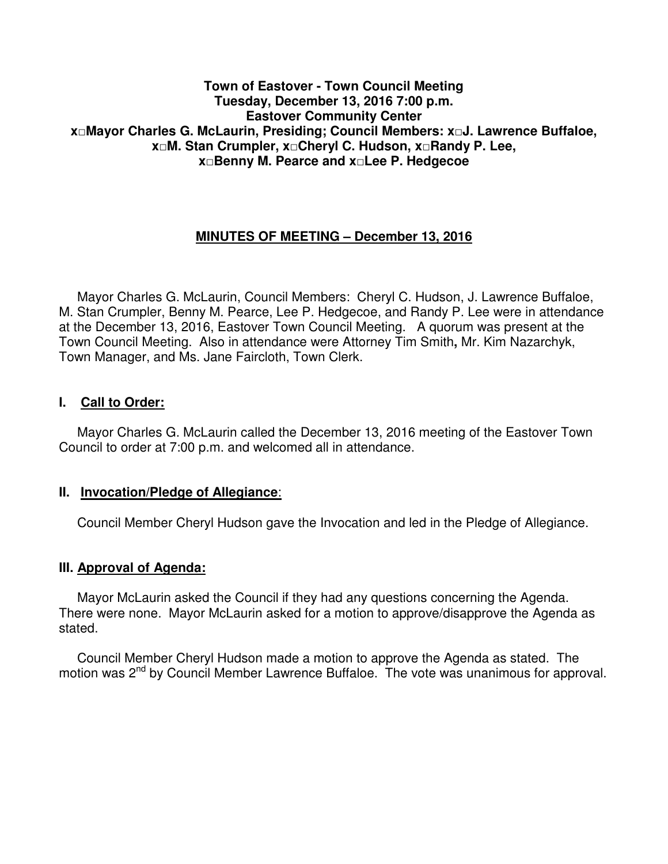### **Town of Eastover - Town Council Meeting Tuesday, December 13, 2016 7:00 p.m. Eastover Community Center x□Mayor Charles G. McLaurin, Presiding; Council Members: x□J. Lawrence Buffaloe, x□M. Stan Crumpler, x□Cheryl C. Hudson, x□Randy P. Lee, x□Benny M. Pearce and x□Lee P. Hedgecoe**

# **MINUTES OF MEETING – December 13, 2016**

 Mayor Charles G. McLaurin, Council Members: Cheryl C. Hudson, J. Lawrence Buffaloe, M. Stan Crumpler, Benny M. Pearce, Lee P. Hedgecoe, and Randy P. Lee were in attendance at the December 13, 2016, Eastover Town Council Meeting. A quorum was present at the Town Council Meeting. Also in attendance were Attorney Tim Smith**,** Mr. Kim Nazarchyk, Town Manager, and Ms. Jane Faircloth, Town Clerk.

#### **I. Call to Order:**

 Mayor Charles G. McLaurin called the December 13, 2016 meeting of the Eastover Town Council to order at 7:00 p.m. and welcomed all in attendance.

#### **II. Invocation/Pledge of Allegiance**:

Council Member Cheryl Hudson gave the Invocation and led in the Pledge of Allegiance.

#### **III. Approval of Agenda:**

 Mayor McLaurin asked the Council if they had any questions concerning the Agenda. There were none. Mayor McLaurin asked for a motion to approve/disapprove the Agenda as stated.

 Council Member Cheryl Hudson made a motion to approve the Agenda as stated. The motion was 2<sup>nd</sup> by Council Member Lawrence Buffaloe. The vote was unanimous for approval.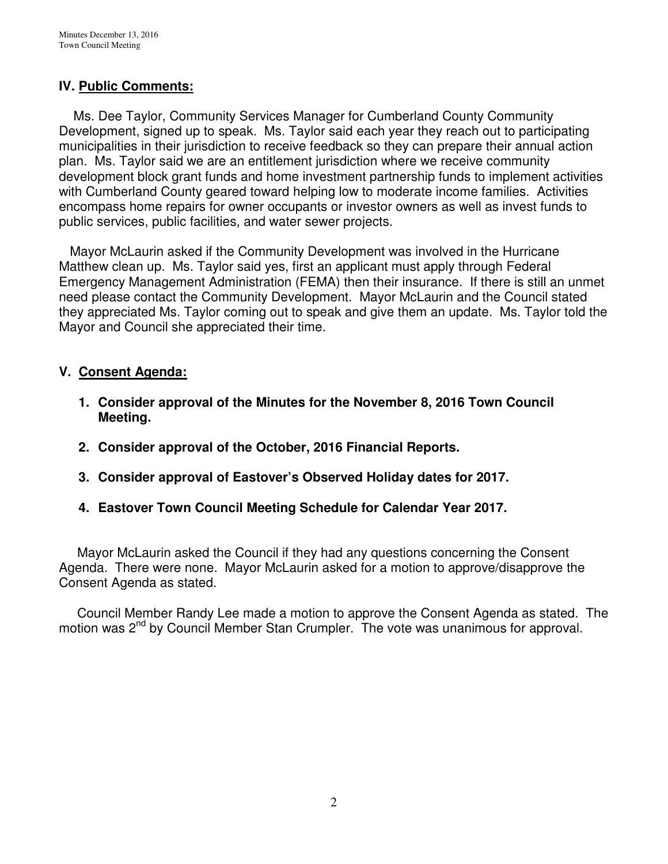# **IV. Public Comments:**

 Ms. Dee Taylor, Community Services Manager for Cumberland County Community Development, signed up to speak. Ms. Taylor said each year they reach out to participating municipalities in their jurisdiction to receive feedback so they can prepare their annual action plan. Ms. Taylor said we are an entitlement jurisdiction where we receive community development block grant funds and home investment partnership funds to implement activities with Cumberland County geared toward helping low to moderate income families. Activities encompass home repairs for owner occupants or investor owners as well as invest funds to public services, public facilities, and water sewer projects.

 Mayor McLaurin asked if the Community Development was involved in the Hurricane Matthew clean up. Ms. Taylor said yes, first an applicant must apply through Federal Emergency Management Administration (FEMA) then their insurance. If there is still an unmet need please contact the Community Development. Mayor McLaurin and the Council stated they appreciated Ms. Taylor coming out to speak and give them an update. Ms. Taylor told the Mayor and Council she appreciated their time.

# **V. Consent Agenda:**

- **1. Consider approval of the Minutes for the November 8, 2016 Town Council Meeting.**
- **2. Consider approval of the October, 2016 Financial Reports.**
- **3. Consider approval of Eastover's Observed Holiday dates for 2017.**
- **4. Eastover Town Council Meeting Schedule for Calendar Year 2017.**

 Mayor McLaurin asked the Council if they had any questions concerning the Consent Agenda. There were none. Mayor McLaurin asked for a motion to approve/disapprove the Consent Agenda as stated.

 Council Member Randy Lee made a motion to approve the Consent Agenda as stated. The motion was 2<sup>nd</sup> by Council Member Stan Crumpler. The vote was unanimous for approval.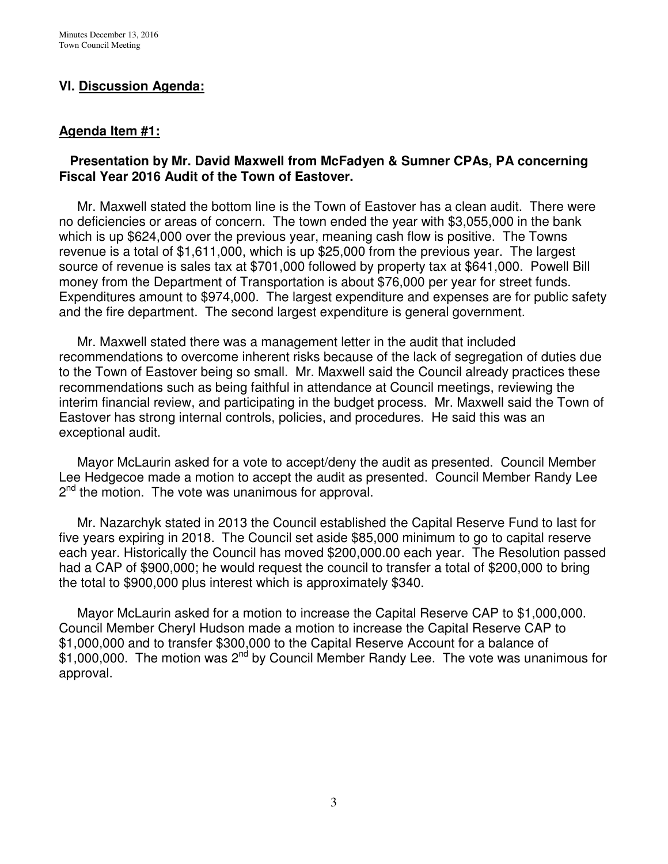# **VI. Discussion Agenda:**

### **Agenda Item #1:**

### **Presentation by Mr. David Maxwell from McFadyen & Sumner CPAs, PA concerning Fiscal Year 2016 Audit of the Town of Eastover.**

 Mr. Maxwell stated the bottom line is the Town of Eastover has a clean audit. There were no deficiencies or areas of concern. The town ended the year with \$3,055,000 in the bank which is up \$624,000 over the previous year, meaning cash flow is positive. The Towns revenue is a total of \$1,611,000, which is up \$25,000 from the previous year. The largest source of revenue is sales tax at \$701,000 followed by property tax at \$641,000. Powell Bill money from the Department of Transportation is about \$76,000 per year for street funds. Expenditures amount to \$974,000. The largest expenditure and expenses are for public safety and the fire department. The second largest expenditure is general government.

 Mr. Maxwell stated there was a management letter in the audit that included recommendations to overcome inherent risks because of the lack of segregation of duties due to the Town of Eastover being so small. Mr. Maxwell said the Council already practices these recommendations such as being faithful in attendance at Council meetings, reviewing the interim financial review, and participating in the budget process. Mr. Maxwell said the Town of Eastover has strong internal controls, policies, and procedures. He said this was an exceptional audit.

 Mayor McLaurin asked for a vote to accept/deny the audit as presented. Council Member Lee Hedgecoe made a motion to accept the audit as presented. Council Member Randy Lee 2<sup>nd</sup> the motion. The vote was unanimous for approval.

 Mr. Nazarchyk stated in 2013 the Council established the Capital Reserve Fund to last for five years expiring in 2018. The Council set aside \$85,000 minimum to go to capital reserve each year. Historically the Council has moved \$200,000.00 each year. The Resolution passed had a CAP of \$900,000; he would request the council to transfer a total of \$200,000 to bring the total to \$900,000 plus interest which is approximately \$340.

 Mayor McLaurin asked for a motion to increase the Capital Reserve CAP to \$1,000,000. Council Member Cheryl Hudson made a motion to increase the Capital Reserve CAP to \$1,000,000 and to transfer \$300,000 to the Capital Reserve Account for a balance of  $$1,000,000$ . The motion was 2<sup>nd</sup> by Council Member Randy Lee. The vote was unanimous for approval.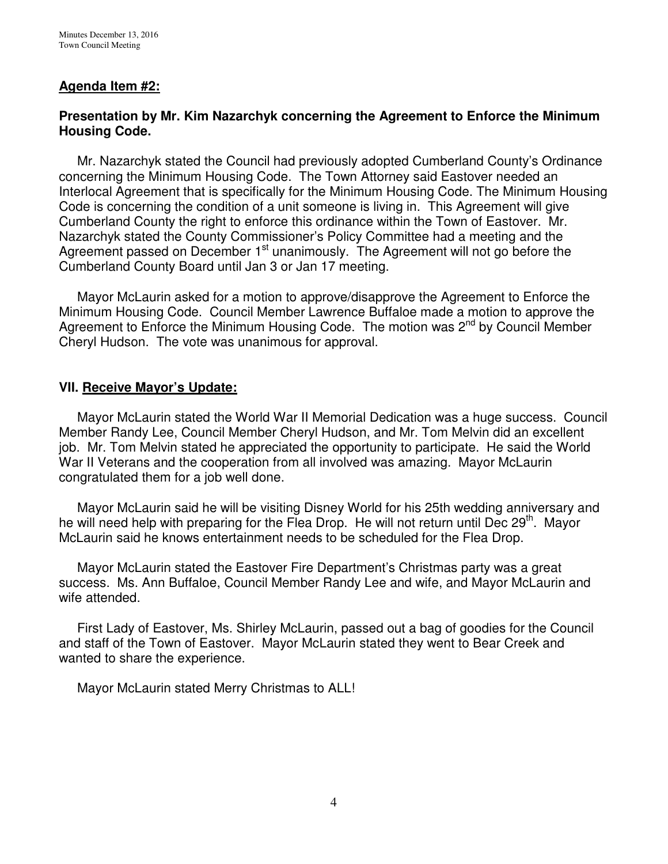# **Agenda Item #2:**

### **Presentation by Mr. Kim Nazarchyk concerning the Agreement to Enforce the Minimum Housing Code.**

Mr. Nazarchyk stated the Council had previously adopted Cumberland County's Ordinance concerning the Minimum Housing Code. The Town Attorney said Eastover needed an Interlocal Agreement that is specifically for the Minimum Housing Code. The Minimum Housing Code is concerning the condition of a unit someone is living in. This Agreement will give Cumberland County the right to enforce this ordinance within the Town of Eastover. Mr. Nazarchyk stated the County Commissioner's Policy Committee had a meeting and the Agreement passed on December 1<sup>st</sup> unanimously. The Agreement will not go before the Cumberland County Board until Jan 3 or Jan 17 meeting.

 Mayor McLaurin asked for a motion to approve/disapprove the Agreement to Enforce the Minimum Housing Code. Council Member Lawrence Buffaloe made a motion to approve the Agreement to Enforce the Minimum Housing Code. The motion was  $2^{nd}$  by Council Member Cheryl Hudson. The vote was unanimous for approval.

#### **VII. Receive Mayor's Update:**

 Mayor McLaurin stated the World War II Memorial Dedication was a huge success. Council Member Randy Lee, Council Member Cheryl Hudson, and Mr. Tom Melvin did an excellent job. Mr. Tom Melvin stated he appreciated the opportunity to participate. He said the World War II Veterans and the cooperation from all involved was amazing. Mayor McLaurin congratulated them for a job well done.

 Mayor McLaurin said he will be visiting Disney World for his 25th wedding anniversary and he will need help with preparing for the Flea Drop. He will not return until Dec 29<sup>th</sup>. Mayor McLaurin said he knows entertainment needs to be scheduled for the Flea Drop.

 Mayor McLaurin stated the Eastover Fire Department's Christmas party was a great success. Ms. Ann Buffaloe, Council Member Randy Lee and wife, and Mayor McLaurin and wife attended.

 First Lady of Eastover, Ms. Shirley McLaurin, passed out a bag of goodies for the Council and staff of the Town of Eastover. Mayor McLaurin stated they went to Bear Creek and wanted to share the experience.

Mayor McLaurin stated Merry Christmas to ALL!